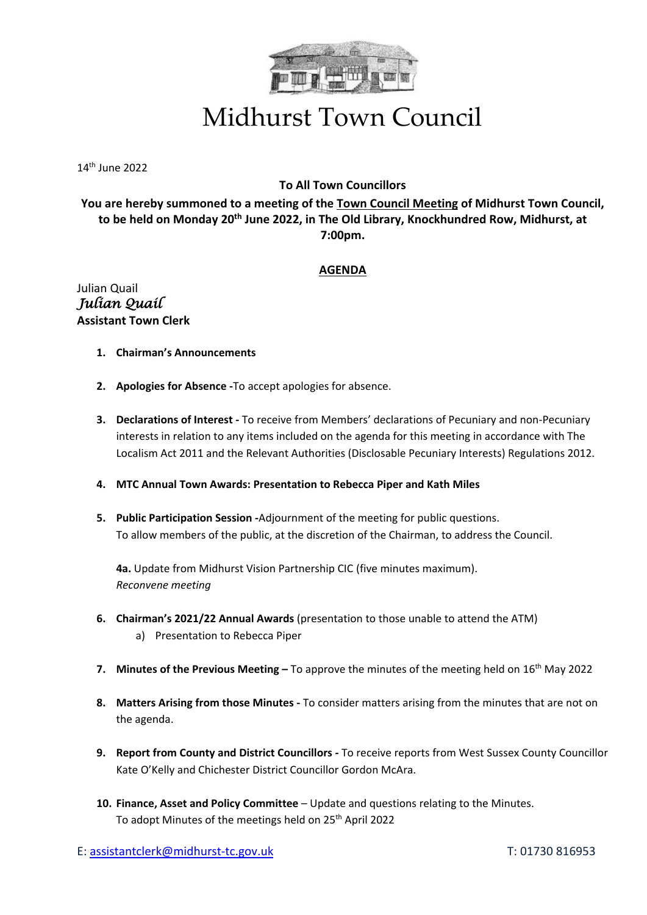

## Midhurst Town Council

14th June 2022

## **To All Town Councillors**

**You are hereby summoned to a meeting of the Town Council Meeting of Midhurst Town Council, to be held on Monday 20th June 2022, in The Old Library, Knockhundred Row, Midhurst, at 7:00pm.**

## **AGENDA**

Julian Quail *Julian Quail*  **Assistant Town Clerk**

- **1. Chairman's Announcements**
- **2. Apologies for Absence -**To accept apologies for absence.
- **3. Declarations of Interest -** To receive from Members' declarations of Pecuniary and non-Pecuniary interests in relation to any items included on the agenda for this meeting in accordance with The Localism Act 2011 and the Relevant Authorities (Disclosable Pecuniary Interests) Regulations 2012.
- **4. MTC Annual Town Awards: Presentation to Rebecca Piper and Kath Miles**
- **5. Public Participation Session -**Adjournment of the meeting for public questions. To allow members of the public, at the discretion of the Chairman, to address the Council.

**4a.** Update from Midhurst Vision Partnership CIC (five minutes maximum). *Reconvene meeting*

- **6. Chairman's 2021/22 Annual Awards** (presentation to those unable to attend the ATM) a) Presentation to Rebecca Piper
- **7.** Minutes of the Previous Meeting To approve the minutes of the meeting held on 16<sup>th</sup> May 2022
- **8. Matters Arising from those Minutes -** To consider matters arising from the minutes that are not on the agenda.
- **9. Report from County and District Councillors -** To receive reports from West Sussex County Councillor Kate O'Kelly and Chichester District Councillor Gordon McAra.
- **10. Finance, Asset and Policy Committee** Update and questions relating to the Minutes. To adopt Minutes of the meetings held on 25<sup>th</sup> April 2022